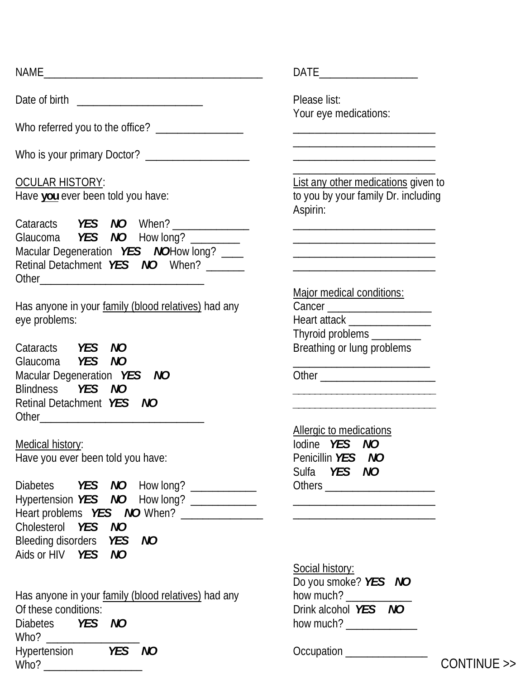|                                                                                                                                                                                       | DATE____________________                                                                                             |
|---------------------------------------------------------------------------------------------------------------------------------------------------------------------------------------|----------------------------------------------------------------------------------------------------------------------|
|                                                                                                                                                                                       | Please list:                                                                                                         |
| Who referred you to the office? _________________                                                                                                                                     | Your eye medications:                                                                                                |
| Who is your primary Doctor? _____________________                                                                                                                                     |                                                                                                                      |
| OCULAR HISTORY:<br>Have you ever been told you have:                                                                                                                                  | List any other medications given<br>to you by your family Dr. including<br>Aspirin:                                  |
| Cataracts <b>YES NO</b> When? _____________<br>Glaucoma <b>YES NO</b> How long? _______<br>Macular Degeneration <i>YES NO</i> How long? ____<br>Retinal Detachment YES NO When? _____ |                                                                                                                      |
| Has anyone in your family (blood relatives) had any<br>eye problems:                                                                                                                  | Major medical conditions:<br>Heart attack ________________<br>Thyroid problems ________                              |
| Cataracts <b>YES NO</b><br>Glaucoma YES NO                                                                                                                                            | Breathing or lung problems                                                                                           |
| Macular Degeneration YES NO<br>Blindness <b>YES NO</b><br>Retinal Detachment YES NO                                                                                                   | <u> 1989 - Johann John Stone, mars et al. (</u>                                                                      |
| Medical history:<br>Have you ever been told you have:                                                                                                                                 | Allergic to medications<br>lodine YES NO<br>Penicillin YES NO<br>Sulfa YES NO                                        |
| Diabetes <b>YES NO</b> How long? ___________<br>Hypertension YES NO How long? ____________<br>Cholesterol YES NO                                                                      | <u> 1990 - Johann John Harry Harry Harry Harry Harry Harry Harry Harry Harry Harry Harry Harry Harry Harry Harry</u> |
| Bleeding disorders <b>YES</b> NO<br>Aids or HIV YES NO                                                                                                                                |                                                                                                                      |
| Has anyone in your family (blood relatives) had any<br>Of these conditions:<br>Diabetes <b>YES NO</b>                                                                                 | <b>Social history:</b><br>Do you smoke? YES NO<br>how much?<br>Drink alcohol YES NO                                  |

NAME\_\_\_\_\_\_\_\_\_\_\_\_\_\_\_\_\_\_\_\_\_\_\_\_\_\_\_\_\_\_\_\_\_\_\_\_\_\_\_\_ DATE\_\_\_\_\_\_\_\_\_\_\_\_\_\_\_\_\_\_

List any other medications given to to you by your family Dr. including Aspirin:

Hypertension *YES NO*Occupation \_\_\_\_\_\_\_\_\_\_\_\_\_\_\_